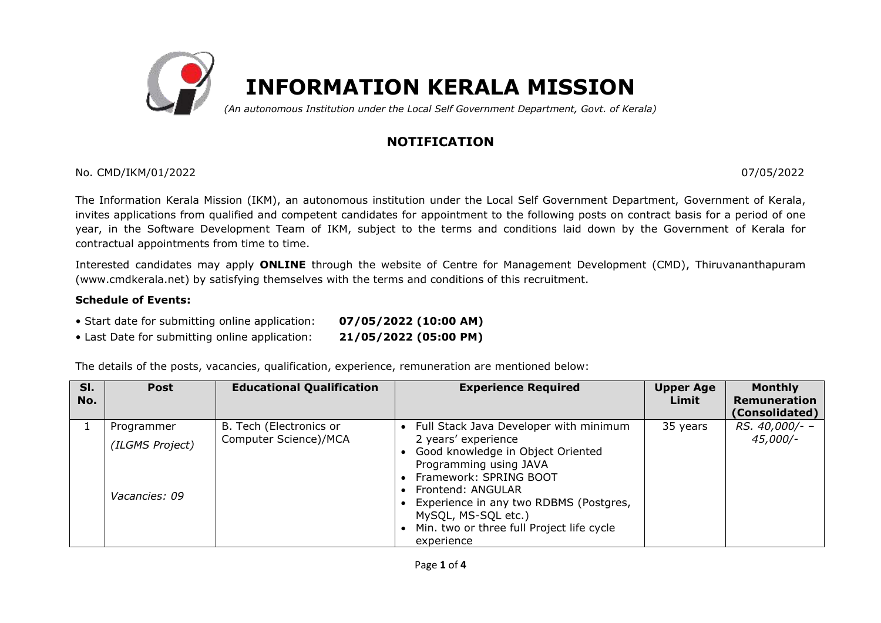

# **NOTIFICATION**

## No. CMD/IKM/01/2022 07/05/2022

The Information Kerala Mission (IKM), an autonomous institution under the Local Self Government Department, Government of Kerala, invites applications from qualified and competent candidates for appointment to the following posts on contract basis for a period of one year, in the Software Development Team of IKM, subject to the terms and conditions laid down by the Government of Kerala for contractual appointments from time to time.

Interested candidates may apply **ONLINE** through the website of Centre for Management Development (CMD), Thiruvananthapuram (www.cmdkerala.net) by satisfying themselves with the terms and conditions of this recruitment.

## **Schedule of Events:**

- Start date for submitting online application: **07/05/2022 (10:00 AM)**
- Last Date for submitting online application: **21/05/2022 (05:00 PM)**

The details of the posts, vacancies, qualification, experience, remuneration are mentioned below:

| SI.<br>No. | <b>Post</b>                                    | <b>Educational Qualification</b>                 | <b>Experience Required</b>                                                                                                                                                                                                                                                                              | <b>Upper Age</b><br>Limit | <b>Monthly</b><br><b>Remuneration</b><br>(Consolidated) |
|------------|------------------------------------------------|--------------------------------------------------|---------------------------------------------------------------------------------------------------------------------------------------------------------------------------------------------------------------------------------------------------------------------------------------------------------|---------------------------|---------------------------------------------------------|
|            | Programmer<br>(ILGMS Project)<br>Vacancies: 09 | B. Tech (Electronics or<br>Computer Science)/MCA | Full Stack Java Developer with minimum<br>2 years' experience<br>Good knowledge in Object Oriented<br>Programming using JAVA<br>Framework: SPRING BOOT<br>Frontend: ANGULAR<br>Experience in any two RDBMS (Postgres,<br>MySQL, MS-SQL etc.)<br>Min. two or three full Project life cycle<br>experience | 35 years                  | RS. 40,000/- -<br>$45,000/-$                            |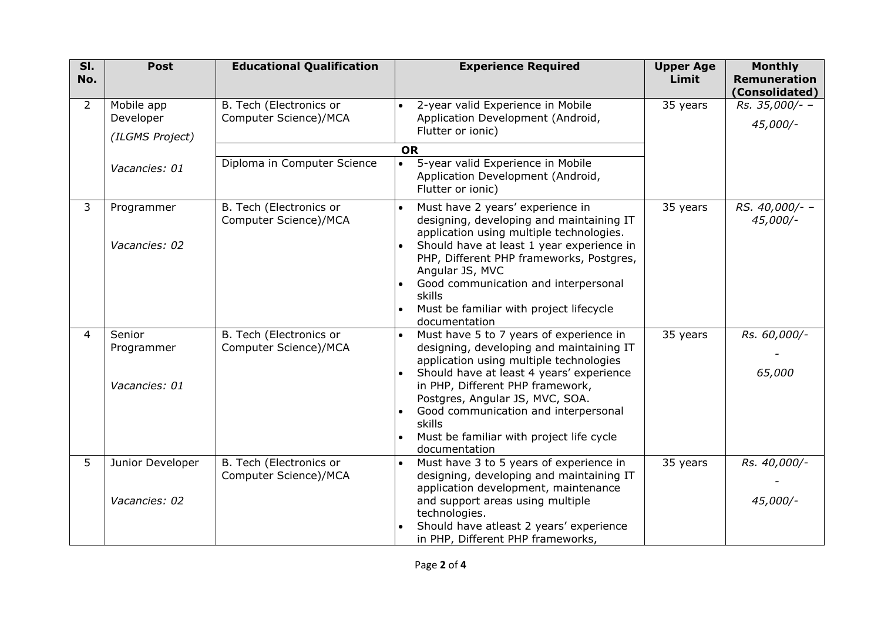| SI.<br>No.     | <b>Post</b>                                | <b>Educational Qualification</b>                 | <b>Experience Required</b>                                                                                                                                                                                                                                                                                                                                       | <b>Upper Age</b><br>Limit | <b>Monthly</b><br><b>Remuneration</b><br>(Consolidated) |
|----------------|--------------------------------------------|--------------------------------------------------|------------------------------------------------------------------------------------------------------------------------------------------------------------------------------------------------------------------------------------------------------------------------------------------------------------------------------------------------------------------|---------------------------|---------------------------------------------------------|
| 2              | Mobile app<br>Developer<br>(ILGMS Project) | B. Tech (Electronics or<br>Computer Science)/MCA | 2-year valid Experience in Mobile<br>Application Development (Android,<br>Flutter or ionic)                                                                                                                                                                                                                                                                      | 35 years                  | Rs. 35,000/- -<br>45,000/-                              |
|                |                                            |                                                  | <b>OR</b>                                                                                                                                                                                                                                                                                                                                                        |                           |                                                         |
|                | Vacancies: 01                              | Diploma in Computer Science                      | 5-year valid Experience in Mobile<br>$\bullet$<br>Application Development (Android,<br>Flutter or ionic)                                                                                                                                                                                                                                                         |                           |                                                         |
| 3              | Programmer<br>Vacancies: 02                | B. Tech (Electronics or<br>Computer Science)/MCA | Must have 2 years' experience in<br>designing, developing and maintaining IT<br>application using multiple technologies.<br>Should have at least 1 year experience in<br>PHP, Different PHP frameworks, Postgres,<br>Angular JS, MVC<br>Good communication and interpersonal<br>skills<br>Must be familiar with project lifecycle<br>documentation               | 35 years                  | RS. 40,000/- -<br>45,000/-                              |
| $\overline{4}$ | Senior<br>Programmer<br>Vacancies: 01      | B. Tech (Electronics or<br>Computer Science)/MCA | Must have 5 to 7 years of experience in<br>designing, developing and maintaining IT<br>application using multiple technologies<br>Should have at least 4 years' experience<br>in PHP, Different PHP framework,<br>Postgres, Angular JS, MVC, SOA.<br>Good communication and interpersonal<br>skills<br>Must be familiar with project life cycle<br>documentation | 35 years                  | Rs. 60,000/-<br>65,000                                  |
| 5              | Junior Developer<br>Vacancies: 02          | B. Tech (Electronics or<br>Computer Science)/MCA | Must have 3 to 5 years of experience in<br>designing, developing and maintaining IT<br>application development, maintenance<br>and support areas using multiple<br>technologies.<br>Should have atleast 2 years' experience<br>in PHP, Different PHP frameworks,                                                                                                 | 35 years                  | Rs. 40,000/-<br>45,000/-                                |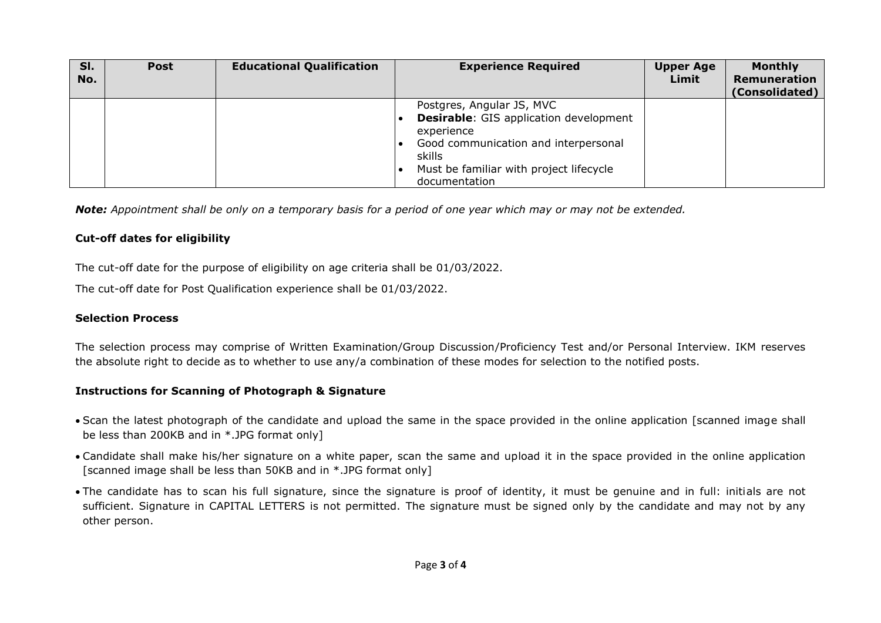| SI.<br>No. | <b>Post</b> | <b>Educational Qualification</b> | <b>Experience Required</b>                                                                                                                                                                             | <b>Upper Age</b><br>Limit | <b>Monthly</b><br>Remuneration<br>(Consolidated) |
|------------|-------------|----------------------------------|--------------------------------------------------------------------------------------------------------------------------------------------------------------------------------------------------------|---------------------------|--------------------------------------------------|
|            |             |                                  | Postgres, Angular JS, MVC<br><b>Desirable:</b> GIS application development<br>experience<br>Good communication and interpersonal<br>skills<br>Must be familiar with project lifecycle<br>documentation |                           |                                                  |

*Note: Appointment shall be only on a temporary basis for a period of one year which may or may not be extended.*

#### **Cut-off dates for eligibility**

The cut-off date for the purpose of eligibility on age criteria shall be 01/03/2022.

The cut-off date for Post Qualification experience shall be 01/03/2022.

#### **Selection Process**

The selection process may comprise of Written Examination/Group Discussion/Proficiency Test and/or Personal Interview. IKM reserves the absolute right to decide as to whether to use any/a combination of these modes for selection to the notified posts.

#### **Instructions for Scanning of Photograph & Signature**

- Scan the latest photograph of the candidate and upload the same in the space provided in the online application [scanned image shall be less than 200KB and in \*.JPG format only]
- Candidate shall make his/her signature on a white paper, scan the same and upload it in the space provided in the online application [scanned image shall be less than 50KB and in \*.JPG format only]
- The candidate has to scan his full signature, since the signature is proof of identity, it must be genuine and in full: initials are not sufficient. Signature in CAPITAL LETTERS is not permitted. The signature must be signed only by the candidate and may not by any other person.